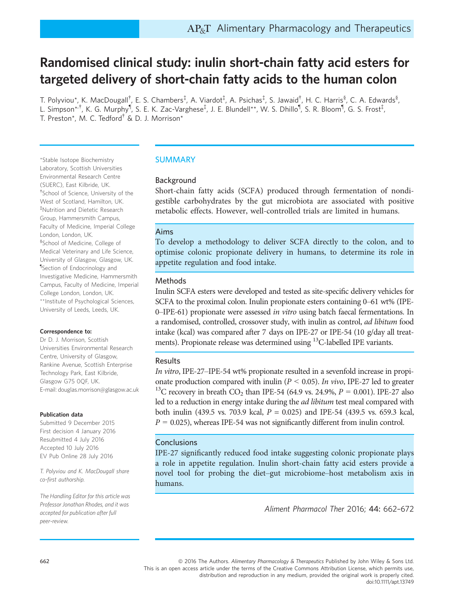# Randomised clinical study: inulin short-chain fatty acid esters for targeted delivery of short-chain fatty acids to the human colon

T. Polyviou\*, K. MacDougall<sup>†</sup>, E. S. Chambers‡, A. Viardot‡, A. Psichas‡, S. Jawaid<sup>†</sup>, H. C. Harris<sup>§</sup>, C. A. Edwards<sup>§</sup>, L. Simpson\*'<sup>†</sup>, K. G. Murphy<sup>¶</sup>, S. E. K. Zac-Varghese<sup>‡</sup>, J. E. Blundell\*\*, W. S. Dhillo¶, S. R. Bloom¶, G. S. Frost<sup>‡</sup>, T. Preston\*, M. C. Tedford† & D. J. Morrison\*

\*Stable Isotope Biochemistry Laboratory, Scottish Universities Environmental Research Centre (SUERC), East Kilbride, UK. † School of Science, University of the West of Scotland, Hamilton, UK. ‡ Nutrition and Dietetic Research Group, Hammersmith Campus, Faculty of Medicine, Imperial College London, London, UK. § School of Medicine, College of Medical Veterinary and Life Science, University of Glasgow, Glasgow, UK. ¶ Section of Endocrinology and Investigative Medicine, Hammersmith Campus, Faculty of Medicine, Imperial College London, London, UK. \*\*Institute of Psychological Sciences, University of Leeds, Leeds, UK.

#### Correspondence to:

Dr D. J. Morrison, Scottish Universities Environmental Research Centre, University of Glasgow, Rankine Avenue, Scottish Enterprise Technology Park, East Kilbride, Glasgow G75 0QF, UK. E-mail: douglas.morrison@glasgow.ac.uk

#### Publication data

Submitted 9 December 2015 First decision 4 January 2016 Resubmitted 4 July 2016 Accepted 10 July 2016 EV Pub Online 28 July 2016

T. Polyviou and K. MacDougall share co-first authorship.

The Handling Editor for this article was Professor Jonathan Rhodes, and it was accepted for publication after full peer-review.

# SUMMARY

# Background

Short-chain fatty acids (SCFA) produced through fermentation of nondigestible carbohydrates by the gut microbiota are associated with positive metabolic effects. However, well-controlled trials are limited in humans.

# Aims

To develop a methodology to deliver SCFA directly to the colon, and to optimise colonic propionate delivery in humans, to determine its role in appetite regulation and food intake.

# Methods

Inulin SCFA esters were developed and tested as site-specific delivery vehicles for SCFA to the proximal colon. Inulin propionate esters containing 0–61 wt% (IPE-0–IPE-61) propionate were assessed in vitro using batch faecal fermentations. In a randomised, controlled, crossover study, with inulin as control, ad libitum food intake (kcal) was compared after 7 days on IPE-27 or IPE-54 (10 g/day all treatments). Propionate release was determined using <sup>13</sup>C-labelled IPE variants.

# Results

In vitro, IPE-27–IPE-54 wt% propionate resulted in a sevenfold increase in propionate production compared with inulin ( $P < 0.05$ ). In vivo, IPE-27 led to greater <sup>13</sup>C recovery in breath CO<sub>2</sub> than IPE-54 (64.9 vs. 24.9%,  $P = 0.001$ ). IPE-27 also led to a reduction in energy intake during the *ad libitum* test meal compared with both inulin (439.5 vs. 703.9 kcal,  $P = 0.025$ ) and IPE-54 (439.5 vs. 659.3 kcal,  $P = 0.025$ ), whereas IPE-54 was not significantly different from inulin control.

# **Conclusions**

IPE-27 significantly reduced food intake suggesting colonic propionate plays a role in appetite regulation. Inulin short-chain fatty acid esters provide a novel tool for probing the diet–gut microbiome–host metabolism axis in humans.

Aliment Pharmacol Ther 2016; 44: <sup>662</sup>–<sup>672</sup>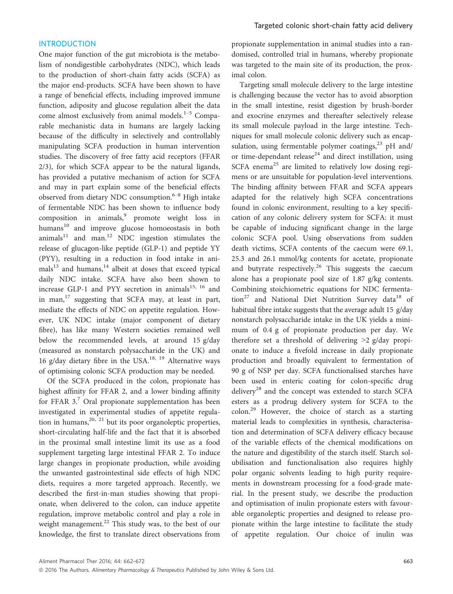### INTRODUCTION

One major function of the gut microbiota is the metabolism of nondigestible carbohydrates (NDC), which leads to the production of short-chain fatty acids (SCFA) as the major end-products. SCFA have been shown to have a range of beneficial effects, including improved immune function, adiposity and glucose regulation albeit the data come almost exclusively from animal models.<sup>1-5</sup> Comparable mechanistic data in humans are largely lacking because of the difficulty in selectively and controllably manipulating SCFA production in human intervention studies. The discovery of free fatty acid receptors (FFAR 2/3), for which SCFA appear to be the natural ligands, has provided a putative mechanism of action for SCFA and may in part explain some of the beneficial effects observed from dietary NDC consumption. $6-8$  High intake of fermentable NDC has been shown to influence body composition in animals,<sup>9</sup> promote weight loss in humans<sup>10</sup> and improve glucose homoeostasis in both  $\text{animals}^{11}$  and man.<sup>12</sup> NDC ingestion stimulates the release of glucagon-like peptide (GLP-1) and peptide YY (PYY), resulting in a reduction in food intake in ani $mals<sup>13</sup>$  and humans,<sup>14</sup> albeit at doses that exceed typical daily NDC intake. SCFA have also been shown to increase GLP-1 and PYY secretion in animals<sup>15, 16</sup> and in man, $17$  suggesting that SCFA may, at least in part, mediate the effects of NDC on appetite regulation. However, UK NDC intake (major component of dietary fibre), has like many Western societies remained well below the recommended levels, at around 15 g/day (measured as nonstarch polysaccharide in the UK) and 16 g/day dietary fibre in the USA.<sup>18, 19</sup> Alternative ways of optimising colonic SCFA production may be needed.

Of the SCFA produced in the colon, propionate has highest affinity for FFAR 2, and a lower binding affinity for FFAR  $3.7$  Oral propionate supplementation has been investigated in experimental studies of appetite regulation in humans,  $20$ ,  $21$  but its poor organoleptic properties, short-circulating half-life and the fact that it is absorbed in the proximal small intestine limit its use as a food supplement targeting large intestinal FFAR 2. To induce large changes in propionate production, while avoiding the unwanted gastrointestinal side effects of high NDC diets, requires a more targeted approach. Recently, we described the first-in-man studies showing that propionate, when delivered to the colon, can induce appetite regulation, improve metabolic control and play a role in weight management. $^{22}$  This study was, to the best of our knowledge, the first to translate direct observations from

propionate supplementation in animal studies into a randomised, controlled trial in humans, whereby propionate was targeted to the main site of its production, the proximal colon.

Targeting small molecule delivery to the large intestine is challenging because the vector has to avoid absorption in the small intestine, resist digestion by brush-border and exocrine enzymes and thereafter selectively release its small molecule payload in the large intestine. Techniques for small molecule colonic delivery such as encapsulation, using fermentable polymer coatings, $^{23}$  pH and/ or time-dependant release<sup>24</sup> and direct instillation, using SCFA enema<sup>25</sup> are limited to relatively low dosing regimens or are unsuitable for population-level interventions. The binding affinity between FFAR and SCFA appears adapted for the relatively high SCFA concentrations found in colonic environment, resulting to a key specification of any colonic delivery system for SCFA: it must be capable of inducing significant change in the large colonic SCFA pool. Using observations from sudden death victims, SCFA contents of the caecum were 69.1, 25.3 and 26.1 mmol/kg contents for acetate, propionate and butyrate respectively.<sup>26</sup> This suggests the caecum alone has a propionate pool size of 1.87 g/kg contents. Combining stoichiometric equations for NDC fermentation<sup>27</sup> and National Diet Nutrition Survey data<sup>18</sup> of habitual fibre intake suggests that the average adult 15 g/day nonstarch polysaccharide intake in the UK yields a minimum of 0.4 g of propionate production per day. We therefore set a threshold of delivering >2 g/day propionate to induce a fivefold increase in daily propionate production and broadly equivalent to fermentation of 90 g of NSP per day. SCFA functionalised starches have been used in enteric coating for colon-specific drug delivery<sup>28</sup> and the concept was extended to starch SCFA esters as a prodrug delivery system for SCFA to the colon.<sup>29</sup> However, the choice of starch as a starting material leads to complexities in synthesis, characterisation and determination of SCFA delivery efficacy because of the variable effects of the chemical modifications on the nature and digestibility of the starch itself. Starch solubilisation and functionalisation also requires highly polar organic solvents leading to high purity requirements in downstream processing for a food-grade material. In the present study, we describe the production and optimisation of inulin propionate esters with favourable organoleptic properties and designed to release propionate within the large intestine to facilitate the study of appetite regulation. Our choice of inulin was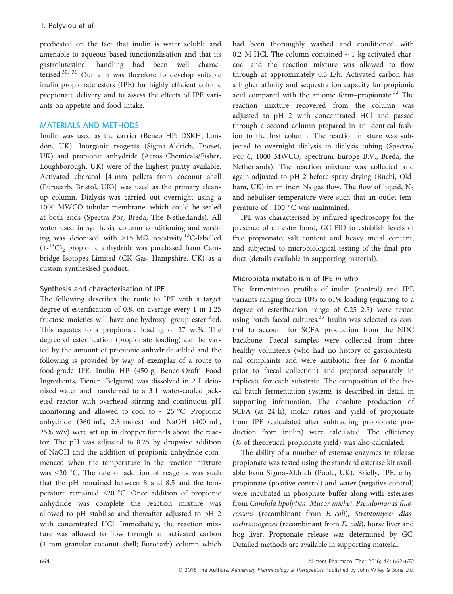predicated on the fact that inulin is water soluble and amenable to aqueous-based functionalisation and that its gastrointestinal handling had been well characterised.30, 31 Our aim was therefore to develop suitable inulin propionate esters (IPE) for highly efficient colonic propionate delivery and to assess the effects of IPE variants on appetite and food intake.

## MATERIALS AND METHODS

Inulin was used as the carrier (Beneo HP; DSKH, London, UK). Inorganic reagents (Sigma-Aldrich, Dorset, UK) and propionic anhydride (Acros Chemicals/Fisher, Loughborough, UK) were of the highest purity available. Activated charcoal [4 mm pellets from coconut shell (Eurocarb, Bristol, UK)] was used as the primary cleanup column. Dialysis was carried out overnight using a 1000 MWCO tubular membrane, which could be sealed at both ends (Spectra-Por, Breda, The Netherlands). All water used in synthesis, column conditioning and washing was deionised with >15 M $\Omega$  resistivity.<sup>13</sup>C-labelled  $(1<sup>-13</sup>C)$ <sub>2</sub> propionic anhydride was purchased from Cambridge Isotopes Limited (CK Gas, Hampshire, UK) as a custom synthesised product.

## Synthesis and characterisation of IPE

The following describes the route to IPE with a target degree of esterification of 0.8, on average every 1 in 1.25 fructose moieties will have one hydroxyl group esterified. This equates to a propionate loading of 27 wt%. The degree of esterification (propionate loading) can be varied by the amount of propionic anhydride added and the following is provided by way of exemplar of a route to food-grade IPE. Inulin HP (450 g; Beneo-Orafti Food Ingredients, Tienen, Belgium) was dissolved in 2 L deionised water and transferred to a 3 L water-cooled jacketed reactor with overhead stirring and continuous pH monitoring and allowed to cool to  $\sim$  25 °C. Propionic anhydride (360 mL, 2.8 moles) and NaOH (400 mL, 25% w/v) were set up in dropper funnels above the reactor. The pH was adjusted to 8.25 by dropwise addition of NaOH and the addition of propionic anhydride commenced when the temperature in the reaction mixture was <20 °C. The rate of addition of reagents was such that the pH remained between 8 and 8.5 and the temperature remained <20 °C. Once addition of propionic anhydride was complete the reaction mixture was allowed to pH stabilise and thereafter adjusted to pH 2 with concentrated HCl. Immediately, the reaction mixture was allowed to flow through an activated carbon (4 mm granular coconut shell; Eurocarb) column which had been thoroughly washed and conditioned with 0.2 M HCl. The column contained  $\sim$  1 kg activated charcoal and the reaction mixture was allowed to flow through at approximately 0.5 L/h. Activated carbon has a higher affinity and sequestration capacity for propionic acid compared with the anionic form–propionate.<sup>32</sup> The reaction mixture recovered from the column was adjusted to pH 2 with concentrated HCl and passed through a second column prepared in an identical fashion to the first column. The reaction mixture was subjected to overnight dialysis in dialysis tubing (Spectra/ Por 6, 1000 MWCO; Spectrum Europe B.V., Breda, the Netherlands). The reaction mixture was collected and again adjusted to pH 2 before spray drying (Buchi, Oldham, UK) in an inert  $N_2$  gas flow. The flow of liquid,  $N_2$ and nebuliser temperature were such that an outlet temperature of ~100 °C was maintained.

IPE was characterised by infrared spectroscopy for the presence of an ester bond, GC-FID to establish levels of free propionate, salt content and heavy metal content, and subjected to microbiological testing of the final product (details available in supporting material).

## Microbiota metabolism of IPE in vitro

The fermentation profiles of inulin (control) and IPE variants ranging from 10% to 61% loading (equating to a degree of esterification range of 0.25–2.5) were tested using batch faecal cultures.<sup>33</sup> Inulin was selected as control to account for SCFA production from the NDC backbone. Faecal samples were collected from three healthy volunteers (who had no history of gastrointestinal complaints and were antibiotic free for 6 months prior to faecal collection) and prepared separately in triplicate for each substrate. The composition of the faecal batch fermentation systems is described in detail in supporting information. The absolute production of SCFA (at 24 h), molar ratios and yield of propionate from IPE (calculated after subtracting propionate production from inulin) were calculated. The efficiency (% of theoretical propionate yield) was also calculated.

The ability of a number of esterase enzymes to release propionate was tested using the standard esterase kit available from Sigma-Aldrich (Poole, UK). Briefly, IPE, ethyl propionate (positive control) and water (negative control) were incubated in phosphate buffer along with esterases from Candida lipolytica, Mucor miehei, Pseudomonas fluorescens (recombinant from E. coli), Streptomyces diastochromogenes (recombinant from E. coli), horse liver and hog liver. Propionate release was determined by GC. Detailed methods are available in supporting material.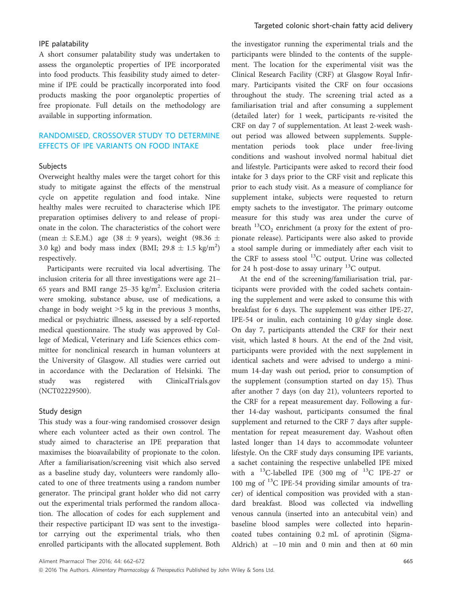### IPE palatability

A short consumer palatability study was undertaken to assess the organoleptic properties of IPE incorporated into food products. This feasibility study aimed to determine if IPE could be practically incorporated into food products masking the poor organoleptic properties of free propionate. Full details on the methodology are available in supporting information.

# RANDOMISED, CROSSOVER STUDY TO DETERMINE EFFECTS OF IPE VARIANTS ON FOOD INTAKE

#### Subjects

Overweight healthy males were the target cohort for this study to mitigate against the effects of the menstrual cycle on appetite regulation and food intake. Nine healthy males were recruited to characterise which IPE preparation optimises delivery to and release of propionate in the colon. The characteristics of the cohort were (mean  $\pm$  S.E.M.) age (38  $\pm$  9 years), weight (98.36  $\pm$ 3.0 kg) and body mass index (BMI;  $29.8 \pm 1.5$  kg/m<sup>2</sup>) respectively.

Participants were recruited via local advertising. The inclusion criteria for all three investigations were age 21– 65 years and BMI range  $25-35$  kg/m<sup>2</sup>. Exclusion criteria were smoking, substance abuse, use of medications, a change in body weight >5 kg in the previous 3 months, medical or psychiatric illness, assessed by a self-reported medical questionnaire. The study was approved by College of Medical, Veterinary and Life Sciences ethics committee for nonclinical research in human volunteers at the University of Glasgow. All studies were carried out in accordance with the Declaration of Helsinki. The study was registered with ClinicalTrials.gov (NCT02229500).

#### Study design

This study was a four-wing randomised crossover design where each volunteer acted as their own control. The study aimed to characterise an IPE preparation that maximises the bioavailability of propionate to the colon. After a familiarisation/screening visit which also served as a baseline study day, volunteers were randomly allocated to one of three treatments using a random number generator. The principal grant holder who did not carry out the experimental trials performed the random allocation. The allocation of codes for each supplement and their respective participant ID was sent to the investigator carrying out the experimental trials, who then enrolled participants with the allocated supplement. Both

the investigator running the experimental trials and the participants were blinded to the contents of the supplement. The location for the experimental visit was the Clinical Research Facility (CRF) at Glasgow Royal Infirmary. Participants visited the CRF on four occasions throughout the study. The screening trial acted as a familiarisation trial and after consuming a supplement (detailed later) for 1 week, participants re-visited the CRF on day 7 of supplementation. At least 2-week washout period was allowed between supplements. Supplementation periods took place under free-living conditions and washout involved normal habitual diet and lifestyle. Participants were asked to record their food intake for 3 days prior to the CRF visit and replicate this prior to each study visit. As a measure of compliance for supplement intake, subjects were requested to return empty sachets to the investigator. The primary outcome measure for this study was area under the curve of breath  $^{13}CO_2$  enrichment (a proxy for the extent of propionate release). Participants were also asked to provide a stool sample during or immediately after each visit to the CRF to assess stool  $^{13}$ C output. Urine was collected for 24 h post-dose to assay urinary  $^{13}$ C output.

At the end of the screening/familiarisation trial, participants were provided with the coded sachets containing the supplement and were asked to consume this with breakfast for 6 days. The supplement was either IPE-27, IPE-54 or inulin, each containing 10 g/day single dose. On day 7, participants attended the CRF for their next visit, which lasted 8 hours. At the end of the 2nd visit, participants were provided with the next supplement in identical sachets and were advised to undergo a minimum 14-day wash out period, prior to consumption of the supplement (consumption started on day 15). Thus after another 7 days (on day 21), volunteers reported to the CRF for a repeat measurement day. Following a further 14-day washout, participants consumed the final supplement and returned to the CRF 7 days after supplementation for repeat measurement day. Washout often lasted longer than 14 days to accommodate volunteer lifestyle. On the CRF study days consuming IPE variants, a sachet containing the respective unlabelled IPE mixed with a  $^{13}$ C-labelled IPE (300 mg of  $^{13}$ C IPE-27 or 100 mg of 13C IPE-54 providing similar amounts of tracer) of identical composition was provided with a standard breakfast. Blood was collected via indwelling venous cannula (inserted into an antecubital vein) and baseline blood samples were collected into heparincoated tubes containing 0.2 mL of aprotinin (Sigma-Aldrich) at  $-10$  min and 0 min and then at 60 min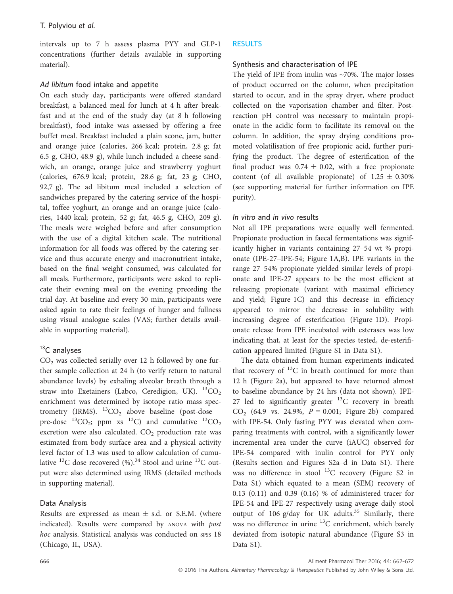intervals up to 7 h assess plasma PYY and GLP-1 concentrations (further details available in supporting material).

# Ad libitum food intake and appetite

On each study day, participants were offered standard breakfast, a balanced meal for lunch at 4 h after breakfast and at the end of the study day (at 8 h following breakfast), food intake was assessed by offering a free buffet meal. Breakfast included a plain scone, jam, butter and orange juice (calories, 266 kcal; protein, 2.8 g; fat 6.5 g, CHO, 48.9 g), while lunch included a cheese sandwich, an orange, orange juice and strawberry yoghurt (calories, 676.9 kcal; protein, 28.6 g; fat, 23 g; CHO, 92,7 g). The ad libitum meal included a selection of sandwiches prepared by the catering service of the hospital, toffee yoghurt, an orange and an orange juice (calories, 1440 kcal; protein, 52 g; fat, 46.5 g, CHO, 209 g). The meals were weighed before and after consumption with the use of a digital kitchen scale. The nutritional information for all foods was offered by the catering service and thus accurate energy and macronutrient intake, based on the final weight consumed, was calculated for all meals. Furthermore, participants were asked to replicate their evening meal on the evening preceding the trial day. At baseline and every 30 min, participants were asked again to rate their feelings of hunger and fullness using visual analogue scales (VAS; further details available in supporting material).

# $13C$  analyses

 $CO<sub>2</sub>$  was collected serially over 12 h followed by one further sample collection at 24 h (to verify return to natural abundance levels) by exhaling alveolar breath through a straw into Exetainers (Labco, Ceredigion, UK).  ${}^{13}CO_2$ enrichment was determined by isotope ratio mass spectrometry (IRMS).  ${}^{13}CO_2$  above baseline (post-dose – pre-dose  ${}^{13}CO_2$ ; ppm xs  ${}^{13}C$ ) and cumulative  ${}^{13}CO_2$ excretion were also calculated.  $CO<sub>2</sub>$  production rate was estimated from body surface area and a physical activity level factor of 1.3 was used to allow calculation of cumulative  $^{13}$ C dose recovered (%).<sup>34</sup> Stool and urine  $^{13}$ C output were also determined using IRMS (detailed methods in supporting material).

# Data Analysis

Results are expressed as mean  $\pm$  s.d. or S.E.M. (where indicated). Results were compared by ANOVA with post hoc analysis. Statistical analysis was conducted on spss 18 (Chicago, IL, USA).

# RESULTS

# Synthesis and characterisation of IPE

The yield of IPE from inulin was  $\sim$ 70%. The major losses of product occurred on the column, when precipitation started to occur, and in the spray dryer, where product collected on the vaporisation chamber and filter. Postreaction pH control was necessary to maintain propionate in the acidic form to facilitate its removal on the column. In addition, the spray drying conditions promoted volatilisation of free propionic acid, further purifying the product. The degree of esterification of the final product was  $0.74 \pm 0.02$ , with a free propionate content (of all available propionate) of  $1.25 \pm 0.30\%$ (see supporting material for further information on IPE purity).

# In vitro and in vivo results

Not all IPE preparations were equally well fermented. Propionate production in faecal fermentations was significantly higher in variants containing 27–54 wt % propionate (IPE-27–IPE-54; Figure 1A,B). IPE variants in the range 27–54% propionate yielded similar levels of propionate and IPE-27 appears to be the most efficient at releasing propionate (variant with maximal efficiency and yield; Figure 1C) and this decrease in efficiency appeared to mirror the decrease in solubility with increasing degree of esterification (Figure 1D). Propionate release from IPE incubated with esterases was low indicating that, at least for the species tested, de-esterification appeared limited (Figure S1 in Data S1).

The data obtained from human experiments indicated that recovery of  $^{13}$ C in breath continued for more than 12 h (Figure 2a), but appeared to have returned almost to baseline abundance by 24 hrs (data not shown). IPE-27 led to significantly greater  $13C$  recovery in breath  $CO_2$  (64.9 vs. 24.9%,  $P = 0.001$ ; Figure 2b) compared with IPE-54. Only fasting PYY was elevated when comparing treatments with control, with a significantly lower incremental area under the curve (iAUC) observed for IPE-54 compared with inulin control for PYY only (Results section and Figures S2a–d in Data S1). There was no difference in stool  $^{13}$ C recovery (Figure S2 in Data S1) which equated to a mean (SEM) recovery of 0.13 (0.11) and 0.39 (0.16) % of administered tracer for IPE-54 and IPE-27 respectively using average daily stool output of 106 g/day for UK adults.<sup>35</sup> Similarly, there was no difference in urine <sup>13</sup>C enrichment, which barely deviated from isotopic natural abundance (Figure S3 in Data S1).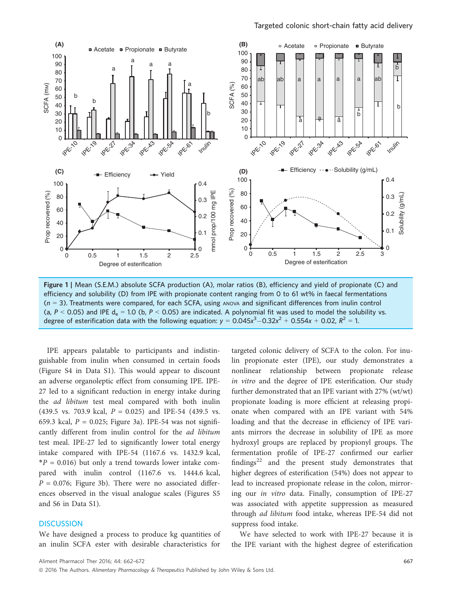

Figure 1 | Mean (S.E.M.) absolute SCFA production (A), molar ratios (B), efficiency and yield of propionate (C) and efficiency and solubility (D) from IPE with propionate content ranging from 0 to 61 wt% in faecal fermentations  $(n = 3)$ . Treatments were compared, for each SCFA, using ANOVA and significant differences from inulin control (a, P < 0.05) and IPE  $d_e = 1.0$  (b, P < 0.05) are indicated. A polynomial fit was used to model the solubility vs. degree of esterification data with the following equation:  $y = 0.045x^3 - 0.32x^2 + 0.554x + 0.02$ ,  $R^2 = 1$ .

IPE appears palatable to participants and indistinguishable from inulin when consumed in certain foods (Figure S4 in Data S1). This would appear to discount an adverse organoleptic effect from consuming IPE. IPE-27 led to a significant reduction in energy intake during the ad libitum test meal compared with both inulin (439.5 vs. 703.9 kcal,  $P = 0.025$ ) and IPE-54 (439.5 vs. 659.3 kcal,  $P = 0.025$ ; Figure 3a). IPE-54 was not significantly different from inulin control for the ad libitum test meal. IPE-27 led to significantly lower total energy intake compared with IPE-54 (1167.6 vs. 1432.9 kcal,  $*P = 0.016$ ) but only a trend towards lower intake compared with inulin control (1167.6 vs. 1444.6 kcal,  $P = 0.076$ ; Figure 3b). There were no associated differences observed in the visual analogue scales (Figures S5 and S6 in Data S1).

## **DISCUSSION**

We have designed a process to produce kg quantities of an inulin SCFA ester with desirable characteristics for

targeted colonic delivery of SCFA to the colon. For inulin propionate ester (IPE), our study demonstrates a nonlinear relationship between propionate release in vitro and the degree of IPE esterification. Our study further demonstrated that an IPE variant with 27% (wt/wt) propionate loading is more efficient at releasing propionate when compared with an IPE variant with 54% loading and that the decrease in efficiency of IPE variants mirrors the decrease in solubility of IPE as more hydroxyl groups are replaced by propionyl groups. The fermentation profile of IPE-27 confirmed our earlier findings $^{22}$  and the present study demonstrates that higher degrees of esterification (54%) does not appear to lead to increased propionate release in the colon, mirroring our in vitro data. Finally, consumption of IPE-27 was associated with appetite suppression as measured through ad libitum food intake, whereas IPE-54 did not suppress food intake.

We have selected to work with IPE-27 because it is the IPE variant with the highest degree of esterification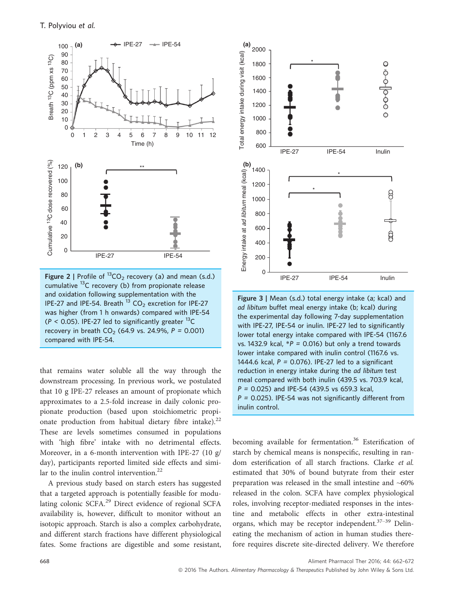

Figure 2 | Profile of  ${}^{13}CO_2$  recovery (a) and mean (s.d.) cumulative 13C recovery (b) from propionate release and oxidation following supplementation with the IPE-27 and IPE-54. Breath  $^{13}$  CO<sub>2</sub> excretion for IPE-27 was higher (from 1 h onwards) compared with IPE-54 ( $P < 0.05$ ). IPE-27 led to significantly greater  $^{13}$ C recovery in breath  $CO_2$  (64.9 vs. 24.9%,  $P = 0.001$ ) compared with IPE-54.

that remains water soluble all the way through the downstream processing. In previous work, we postulated that 10 g IPE-27 releases an amount of propionate which approximates to a 2.5-fold increase in daily colonic propionate production (based upon stoichiometric propionate production from habitual dietary fibre intake). $^{22}$ These are levels sometimes consumed in populations with 'high fibre' intake with no detrimental effects. Moreover, in a 6-month intervention with IPE-27 (10 g/ day), participants reported limited side effects and similar to the inulin control intervention. $^{22}$ 

A previous study based on starch esters has suggested that a targeted approach is potentially feasible for modulating colonic SCFA.<sup>29</sup> Direct evidence of regional SCFA availability is, however, difficult to monitor without an isotopic approach. Starch is also a complex carbohydrate, and different starch fractions have different physiological fates. Some fractions are digestible and some resistant,



Figure 3 | Mean (s.d.) total energy intake (a; kcal) and ad libitum buffet meal energy intake (b; kcal) during the experimental day following 7-day supplementation with IPE-27, IPE-54 or inulin. IPE-27 led to significantly lower total energy intake compared with IPE-54 (1167.6 vs. 1432.9 kcal,  $*P = 0.016$ ) but only a trend towards lower intake compared with inulin control (1167.6 vs. 1444.6 kcal,  $P = 0.076$ ). IPE-27 led to a significant reduction in energy intake during the ad libitum test meal compared with both inulin (439.5 vs. 703.9 kcal, P = 0.025) and IPE-54 (439.5 vs 659.3 kcal,  $P = 0.025$ ). IPE-54 was not significantly different from inulin control.

becoming available for fermentation.<sup>36</sup> Esterification of starch by chemical means is nonspecific, resulting in random esterification of all starch fractions. Clarke et al. estimated that 30% of bound butyrate from their ester preparation was released in the small intestine and ~60% released in the colon. SCFA have complex physiological roles, involving receptor-mediated responses in the intestine and metabolic effects in other extra-intestinal organs, which may be receptor independent. $37-39$  Delineating the mechanism of action in human studies therefore requires discrete site-directed delivery. We therefore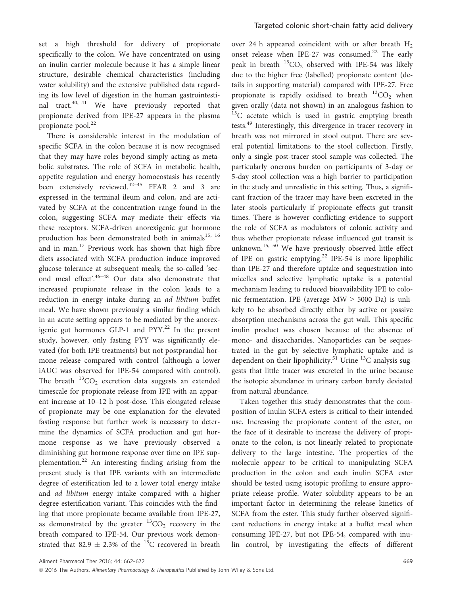set a high threshold for delivery of propionate specifically to the colon. We have concentrated on using an inulin carrier molecule because it has a simple linear structure, desirable chemical characteristics (including water solubility) and the extensive published data regarding its low level of digestion in the human gastrointestinal tract.40, 41 We have previously reported that propionate derived from IPE-27 appears in the plasma propionate pool.<sup>22</sup>

There is considerable interest in the modulation of specific SCFA in the colon because it is now recognised that they may have roles beyond simply acting as metabolic substrates. The role of SCFA in metabolic health, appetite regulation and energy homoeostasis has recently been extensively reviewed.<sup>42–45</sup> FFAR 2 and 3 are expressed in the terminal ileum and colon, and are activated by SCFA at the concentration range found in the colon, suggesting SCFA may mediate their effects via these receptors. SCFA-driven anorexigenic gut hormone production has been demonstrated both in animals<sup>15, 16</sup> and in man. $^{17}$  Previous work has shown that high-fibre diets associated with SCFA production induce improved glucose tolerance at subsequent meals; the so-called 'second meal effect'. <sup>46</sup>–<sup>48</sup> Our data also demonstrate that increased propionate release in the colon leads to a reduction in energy intake during an ad libitum buffet meal. We have shown previously a similar finding which in an acute setting appears to be mediated by the anorexigenic gut hormones GLP-1 and  $PYY<sup>22</sup>$  In the present study, however, only fasting PYY was significantly elevated (for both IPE treatments) but not postprandial hormone release compared with control (although a lower iAUC was observed for IPE-54 compared with control). The breath  ${}^{13}CO_2$  excretion data suggests an extended timescale for propionate release from IPE with an apparent increase at 10–12 h post-dose. This elongated release of propionate may be one explanation for the elevated fasting response but further work is necessary to determine the dynamics of SCFA production and gut hormone response as we have previously observed a diminishing gut hormone response over time on IPE supplementation.<sup>22</sup> An interesting finding arising from the present study is that IPE variants with an intermediate degree of esterification led to a lower total energy intake and *ad libitum* energy intake compared with a higher degree esterification variant. This coincides with the finding that more propionate became available from IPE-27, as demonstrated by the greater  ${}^{13}CO_2$  recovery in the breath compared to IPE-54. Our previous work demonstrated that 82.9  $\pm$  2.3% of the <sup>13</sup>C recovered in breath

over 24 h appeared coincident with or after breath  $H_2$ onset release when IPE-27 was consumed.<sup>22</sup> The early peak in breath  $^{13}CO_2$  observed with IPE-54 was likely due to the higher free (labelled) propionate content (details in supporting material) compared with IPE-27. Free propionate is rapidly oxidised to breath  ${}^{13}CO_2$  when given orally (data not shown) in an analogous fashion to  $13C$  acetate which is used in gastric emptying breath tests.<sup>49</sup> Interestingly, this divergence in tracer recovery in breath was not mirrored in stool output. There are several potential limitations to the stool collection. Firstly, only a single post-tracer stool sample was collected. The particularly onerous burden on participants of 3-day or 5-day stool collection was a high barrier to participation in the study and unrealistic in this setting. Thus, a significant fraction of the tracer may have been excreted in the later stools particularly if propionate effects gut transit times. There is however conflicting evidence to support the role of SCFA as modulators of colonic activity and thus whether propionate release influenced gut transit is unknown.<sup>15, 50</sup> We have previously observed little effect of IPE on gastric emptying.<sup>22</sup> IPE-54 is more lipophilic than IPE-27 and therefore uptake and sequestration into micelles and selective lymphatic uptake is a potential mechanism leading to reduced bioavailability IPE to colonic fermentation. IPE (average MW > 5000 Da) is unlikely to be absorbed directly either by active or passive absorption mechanisms across the gut wall. This specific inulin product was chosen because of the absence of mono- and disaccharides. Nanoparticles can be sequestrated in the gut by selective lymphatic uptake and is dependent on their lipophilicity.<sup>51</sup> Urine  $^{13}$ C analysis suggests that little tracer was excreted in the urine because the isotopic abundance in urinary carbon barely deviated from natural abundance.

Taken together this study demonstrates that the composition of inulin SCFA esters is critical to their intended use. Increasing the propionate content of the ester, on the face of it desirable to increase the delivery of propionate to the colon, is not linearly related to propionate delivery to the large intestine. The properties of the molecule appear to be critical to manipulating SCFA production in the colon and each inulin SCFA ester should be tested using isotopic profiling to ensure appropriate release profile. Water solubility appears to be an important factor in determining the release kinetics of SCFA from the ester. This study further observed significant reductions in energy intake at a buffet meal when consuming IPE-27, but not IPE-54, compared with inulin control, by investigating the effects of different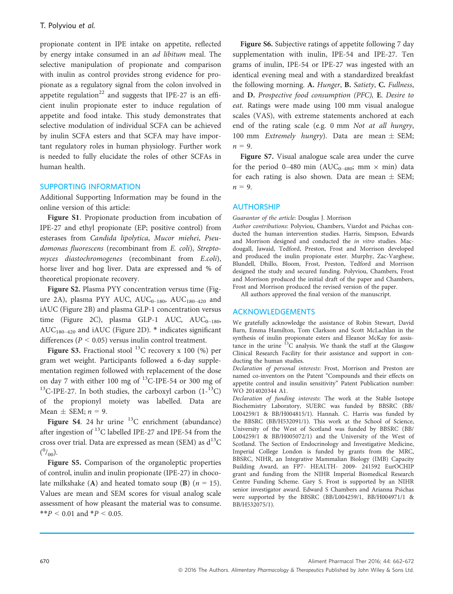propionate content in IPE intake on appetite, reflected by energy intake consumed in an ad libitum meal. The selective manipulation of propionate and comparison with inulin as control provides strong evidence for propionate as a regulatory signal from the colon involved in appetite regulation<sup>22</sup> and suggests that IPE-27 is an efficient inulin propionate ester to induce regulation of appetite and food intake. This study demonstrates that selective modulation of individual SCFA can be achieved by inulin SCFA esters and that SCFA may have important regulatory roles in human physiology. Further work is needed to fully elucidate the roles of other SCFAs in human health.

# SUPPORTING INFORMATION

Additional Supporting Information may be found in the online version of this article:

Figure S1. Propionate production from incubation of IPE-27 and ethyl propionate (EP; positive control) from esterases from Candida lipolytica, Mucor miehei, Pseudomonas fluorescens (recombinant from E. coli), Streptomyces diastochromogenes (recombinant from E.coli), horse liver and hog liver. Data are expressed and % of theoretical propionate recovery.

Figure S2. Plasma PYY concentration versus time (Figure 2A), plasma PYY AUC,  $AUC_{0-180}$ ,  $AUC_{180-420}$  and iAUC (Figure 2B) and plasma GLP-1 concentration versus time (Figure 2C), plasma GLP-1 AUC,  $AUC_{0-180}$ ,  $AUC_{180-420}$  and  $iAUC$  (Figure 2D). \* indicates significant differences ( $P < 0.05$ ) versus inulin control treatment.

Figure S3. Fractional stool  $^{13}$ C recovery x 100 (%) per gram wet weight. Participants followed a 6-day supplementation regimen followed with replacement of the dose on day 7 with either 100 mg of  $^{13}$ C-IPE-54 or 300 mg of <sup>13</sup>C-IPE-27. In both studies, the carboxyl carbon  $(1 - {}^{13}C)$ of the propionyl moiety was labelled. Data are Mean  $\pm$  SEM;  $n = 9$ .

Figure S4. 24 hr urine  $^{13}$ C enrichment (abundance) after ingestion of 13C labelled IPE-27 and IPE-54 from the cross over trial. Data are expressed as mean (SEM) as  $d^{13}C$  $(^{0}/_{00}).$ 

Figure S5. Comparison of the organoleptic properties of control, inulin and inulin propionate (IPE-27) in chocolate milkshake (A) and heated tomato soup (B) ( $n = 15$ ). Values are mean and SEM scores for visual analog scale assessment of how pleasant the material was to consume. \*\* $P < 0.01$  and \* $P < 0.05$ .

Figure S6. Subjective ratings of appetite following 7 day supplementation with inulin, IPE-54 and IPE-27. Ten grams of inulin, IPE-54 or IPE-27 was ingested with an identical evening meal and with a standardized breakfast the following morning. A. Hunger, B. Satiety, C. Fullness, and D. Prospective food consumption (PFC), E. Desire to eat. Ratings were made using 100 mm visual analogue scales (VAS), with extreme statements anchored at each end of the rating scale (e.g. 0 mm Not at all hungry, 100 mm Extremely hungry). Data are mean  $\pm$  SEM;  $n = 9$ .

Figure S7. Visual analogue scale area under the curve for the period 0–480 min (AUC<sub>0–480</sub>; mm  $\times$  min) data for each rating is also shown. Data are mean  $\pm$  SEM;  $n = 9$ .

#### AUTHORSHIP

Guarantor of the article: Douglas J. Morrison

Author contributions: Polyviou, Chambers, Viardot and Psichas conducted the human intervention studies. Harris, Simpson, Edwards and Morrison designed and conducted the in vitro studies. Macdougall, Jawaid, Tedford, Preston, Frost and Morrison developed and produced the inulin propionate ester. Murphy, Zac-Varghese, Blundell, Dhillo, Bloom, Frost, Preston, Tedford and Morrison designed the study and secured funding. Polyviou, Chambers, Frost and Morrison produced the initial draft of the paper and Chambers, Frost and Morrison produced the revised version of the paper.

All authors approved the final version of the manuscript.

#### ACKNOWLEDGEMENTS

We gratefully acknowledge the assistance of Robin Stewart, David Barn, Emma Hamilton, Tom Clarkson and Scott McLachlan in the synthesis of inulin propionate esters and Eleanor McKay for assistance in the urine  ${}^{13}$ C analysis. We thank the staff at the Glasgow Clinical Research Facility for their assistance and support in conducting the human studies.

Declaration of personal interests: Frost, Morrison and Preston are named co-inventors on the Patent "Compounds and their effects on appetite control and insulin sensitivity" Patent Publication number: WO 2014020344 A1.

Declaration of funding interests: The work at the Stable Isotope Biochemistry Laboratory, SUERC was funded by BBSRC (BB/ L004259/1 & BB/H004815/1). Hannah. C. Harris was funded by the BBSRC (BB/H532091/1). This work at the School of Science, University of the West of Scotland was funded by BBSRC (BB/ L004259/1 & BB/H005072/1) and the University of the West of Scotland. The Section of Endocrinology and Investigative Medicine, Imperial College London is funded by grants from the MRC, BBSRC, NIHR, an Integrative Mammalian Biology (IMB) Capacity Building Award, an FP7- HEALTH- 2009- 241592 EurOCHIP grant and funding from the NIHR Imperial Biomedical Research Centre Funding Scheme. Gary S. Frost is supported by an NIHR senior investigator award. Edward S Chambers and Arianna Psichas were supported by the BBSRC (BB/L004259/1, BB/H004971/1 & BB/H532075/1).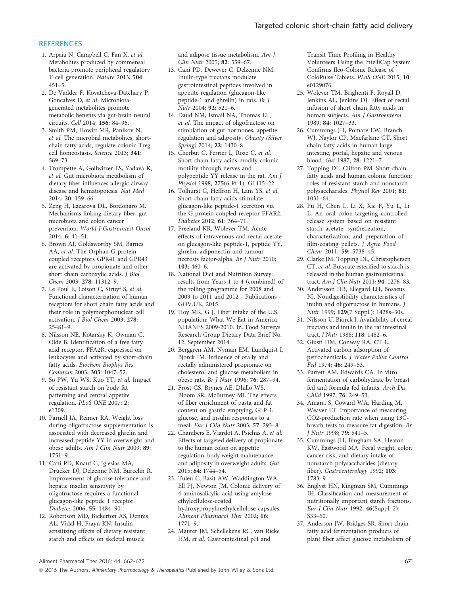# **REFERENCES**

- 1. Arpaia N, Campbell C, Fan X, et al. Metabolites produced by commensal bacteria promote peripheral regulatory T-cell generation. Nature 2013; 504: 451–5.
- 2. De Vadder F, Kovatcheva-Datchary P, Goncalves D, et al. Microbiotagenerated metabolites promote metabolic benefits via gut-brain neural circuits. Cell 2014; 156: 84–96.
- 3. Smith PM, Howitt MR, Panikov N, et al. The microbial metabolites, shortchain fatty acids, regulate colonic Treg cell homeostasis. Science 2013; 341: 569–73.
- 4. Trompette A, Gollwitzer ES, Yadava K, et al. Gut microbiota metabolism of dietary fiber influences allergic airway disease and hematopoiesis. Nat Med 2014; 20: 159–66.
- 5. Zeng H, Lazarova DL, Bordonaro M. Mechanisms linking dietary fiber, gut microbiota and colon cancer prevention. World J Gastrointest Oncol<br>2014; 6: 41-51.
- 2014; 6: 41–51. 6. Brown AJ, Goldsworthy SM, Barnes AA, et al. The Orphan G proteincoupled receptors GPR41 and GPR43 are activated by propionate and other short chain carboxylic acids. J Biol Chem 2003; 278: 11312–9.
- 7. Le Poul E, Loison C, Struyf S, et al. Functional characterization of human receptors for short chain fatty acids and their role in polymorphonuclear cell activation. J Biol Chem 2003; 278: 25481–9.
- 8. Nilsson NE, Kotarsky K, Owman C, Olde B. Identification of a free fatty acid receptor, FFA2R, expressed on leukocytes and activated by short-chain fatty acids. Biochem Biophys Res Commun 2003; 303: 1047–52.
- 9. So PW, Yu WS, Kuo YT, et al. Impact of resistant starch on body fat patterning and central appetite regulation. PLoS ONE 2007; 2: e1309.
- 10. Parnell JA, Reimer RA. Weight loss during oligofructose supplementation is associated with decreased ghrelin and increased peptide YY in overweight and obese adults. Am J Clin Nutr 2009; 89: 1751–9.
- 11. Cani PD, Knauf C, Iglesias MA, Drucker DJ, Delzenne NM, Burcelin R. Improvement of glucose tolerance and hepatic insulin sensitivity by oligofructose requires a functional glucagon-like peptide 1 receptor. Diabetes 2006; 55: 1484–90.
- 12. Robertson MD, Bickerton AS, Dennis AL, Vidal H, Frayn KN. Insulinsensitizing effects of dietary resistant starch and effects on skeletal muscle

and adipose tissue metabolism. Am J<br>Clin Nutr 2005: 82: 559-67.

- Clin Nutr 2005; 82: 559–67. 13. Cani PD, Dewever C, Delzenne NM. Inulin-type fructans modulate gastrointestinal peptides involved in appetite regulation (glucagon-like peptide-1 and ghrelin) in rats. Br J Nutr 2004; 92: 521–6.
- 14. Daud NM, Ismail NA, Thomas EL, et al. The impact of oligofructose on stimulation of gut hormones, appetite regulation and adiposity. Obesity (Silver Spring) 2014; 22: 1430–8.
- 15. Cherbut C, Ferrier L, Roze C, et al. Short-chain fatty acids modify colonic motility through nerves and polypeptide YY release in the rat. Am J<br>Physiol 1998; 275(6 Pt 1): G1415-22.
- Physiol 1998; 275(6 Pt 1): G1415–22. 16. Tolhurst G, Heffron H, Lam YS, et al. Short-chain fatty acids stimulate glucagon-like peptide-1 secretion via the G-protein-coupled receptor FFAR2.<br>Diabetes 2012; 61: 364-71.
- Diabetes 2012; 61: 364–71. 17. Freeland KR, Wolever TM. Acute effects of intravenous and rectal acetate on glucagon-like peptide-1, peptide YY, ghrelin, adiponectin and tumour necrosis factor-alpha. Br J Nutr 2010; 103: 460–6.
- 18. National Diet and Nutrition Survey: results from Years 1 to 4 (combined) of the rolling programme for 2008 and 2009 to 2011 and 2012 - Publications - GOV.UK, 2015.
- 19. Hoy MK, G J. Fiber intake of the U.S. population: What We Eat in America, NHANES 2009-2010. In. Food Surveys Research Group Dietary Data Brief No. 12. September 2014.
- 20. Berggren AM, Nyman EM, Lundquist I, Bjorck IM. Influence of orally and rectally administered propionate on cholesterol and glucose metabolism in obese rats. Br J Nutr 1996; 76: 287–94.
- 21. Frost GS, Brynes AE, Dhillo WS, Bloom SR, McBurney MI. The effects of fiber enrichment of pasta and fat content on gastric emptying, GLP-1, glucose, and insulin responses to a meal. Eur J Clin Nutr 2003; 57: 293–8.
- 22. Chambers E, Viardot A, Psichas A, et al. Effects of targeted delivery of propionate to the human colon on appetite regulation, body weight maintenance and adiposity in overweight adults. Gut 2015; 64: 1744–54.
- 23. Tuleu C, Basit AW, Waddington WA, Ell PJ, Newton JM. Colonic delivery of 4-aminosalicylic acid using amyloseethylcellulose-coated hydroxypropylmethylcellulose capsules. Aliment Pharmacol Ther 2002; 16: 1771–9.
- 24. Maurer JM, Schellekens RC, van Rieke HM, et al. Gastrointestinal pH and

Transit Time Profiling in Healthy Volunteers Using the IntelliCap System Confirms Ileo-Colonic Release of ColoPulse Tablets. PLoS ONE 2015; 10: e0129076.

- 25. Wolever TM, Brighenti F, Royall D, Jenkins AL, Jenkins DJ. Effect of rectal infusion of short chain fatty acids in human subjects. Am J Gastroenterol 1989; 84: 1027–33.
- 26. Cummings JH, Pomare EW, Branch WJ, Naylor CP, Macfarlane GT. Short chain fatty acids in human large intestine, portal, hepatic and venous blood. Gut 1987; 28: 1221–7.
- 27. Topping DL, Clifton PM. Short-chain fatty acids and human colonic function: roles of resistant starch and nonstarch polysaccharides. Physiol Rev 2001; 81: 1031–64.
- 28. Pu H, Chen L, Li X, Xie F, Yu L, Li L. An oral colon-targeting controlled release system based on resistant starch acetate: synthetization, characterization, and preparation of film-coating pellets. *J Agric Food* Chem 2011; <sup>59</sup>: 5738–45.
- 29. Clarke JM, Topping DL, Christophersen CT, et al. Butyrate esterified to starch is released in the human gastrointestinal tract. Am J Clin Nutr 2011; 94: 1276–83.
- 30. Andersson HB, Ellegard LH, Bosaeus IG. Nondigestibility characteristics of inulin and oligofructose in humans. J Nutr 1999; 129(7 Suppl.): 1428s–30s.
- 31. Nilsson U, Bjorck I. Availability of cereal fructans and inulin in the rat intestinal tract. J Nutr 1988; 118: 1482–6.
- 32. Giusti DM, Conway RA, CT L. Activated carbon adsorption of petrochemicals. J Water Pollut Control Fed 1974; 46: 249–53.
- 33. Parrett AM, Edwards CA. In vitro fermentation of carbohydrate by breast fed and formula fed infants. Arch Dis Child 1997; 76: 249–53.
- 34. Amarri S, Coward WA, Harding M, Weaver LT. Importance of measuring CO2-production rate when using 13Cbreath tests to measure fat digestion. Br J Nutr 1998; 79: 541–5.
- 35. Cummings JH, Bingham SA, Heaton KW, Eastwood MA. Fecal weight, colon cancer risk, and dietary intake of nonstarch polysaccharides (dietary fiber). Gastroenterology 1992; 103: 1783–9.
- 36. Englyst HN, Kingman SM, Cummings JH. Classification and measurement of nutritionally important starch fractions. Eur J Clin Nutr 1992; 46(Suppl. 2): S33–50.
- 37. Anderson JW, Bridges SR. Short-chain fatty acid fermentation products of plant fiber affect glucose metabolism of